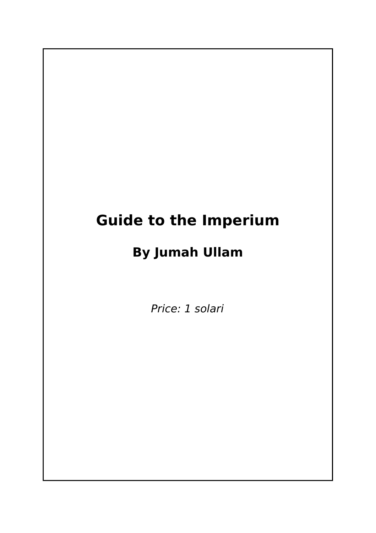# **Guide to the Imperium**

# **By Jumah Ullam**

Price: 1 solari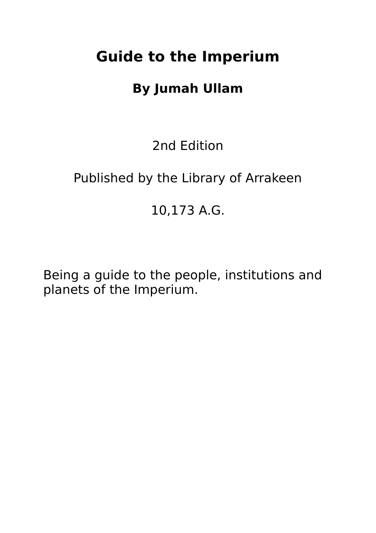# **Guide to the Imperium**

# **By Jumah Ullam**

2nd Edition

# Published by the Library of Arrakeen

## 10,173 A.G.

Being a guide to the people, institutions and planets of the Imperium.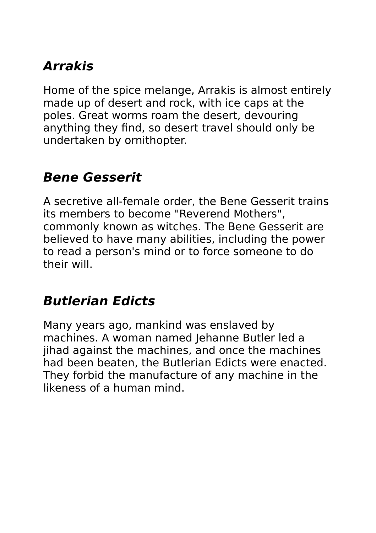# **Arrakis**

Home of the spice melange, Arrakis is almost entirely made up of desert and rock, with ice caps at the poles. Great worms roam the desert, devouring anything they find, so desert travel should only be undertaken by ornithopter.

#### **Bene Gesserit**

A secretive all-female order, the Bene Gesserit trains its members to become "Reverend Mothers", commonly known as witches. The Bene Gesserit are believed to have many abilities, including the power to read a person's mind or to force someone to do their will.

#### **Butlerian Edicts**

Many years ago, mankind was enslaved by machines. A woman named Jehanne Butler led a jihad against the machines, and once the machines had been beaten, the Butlerian Edicts were enacted. They forbid the manufacture of any machine in the likeness of a human mind.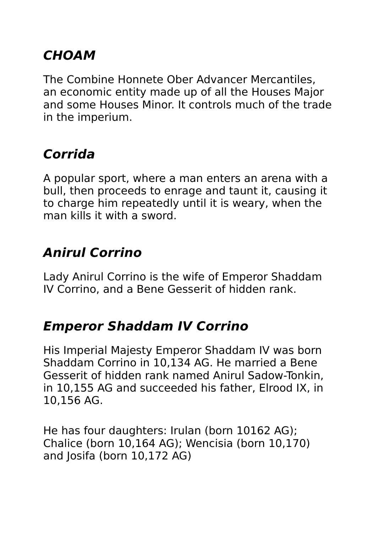## **CHOAM**

The Combine Honnete Ober Advancer Mercantiles, an economic entity made up of all the Houses Major and some Houses Minor. It controls much of the trade in the imperium.

# **Corrida**

A popular sport, where a man enters an arena with a bull, then proceeds to enrage and taunt it, causing it to charge him repeatedly until it is weary, when the man kills it with a sword.

## **Anirul Corrino**

Lady Anirul Corrino is the wife of Emperor Shaddam IV Corrino, and a Bene Gesserit of hidden rank.

#### **Emperor Shaddam IV Corrino**

His Imperial Majesty Emperor Shaddam IV was born Shaddam Corrino in 10,134 AG. He married a Bene Gesserit of hidden rank named Anirul Sadow-Tonkin, in 10,155 AG and succeeded his father, Elrood IX, in 10,156 AG.

He has four daughters: Irulan (born 10162 AG); Chalice (born 10,164 AG); Wencisia (born 10,170) and Josifa (born 10,172 AG)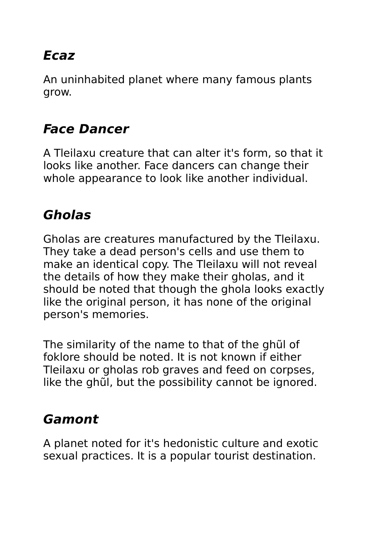# **Ecaz**

An uninhabited planet where many famous plants grow.

## **Face Dancer**

A Tleilaxu creature that can alter it's form, so that it looks like another. Face dancers can change their whole appearance to look like another individual.

## **Gholas**

Gholas are creatures manufactured by the Tleilaxu. They take a dead person's cells and use them to make an identical copy. The Tleilaxu will not reveal the details of how they make their gholas, and it should be noted that though the ghola looks exactly like the original person, it has none of the original person's memories.

The similarity of the name to that of the ghũl of foklore should be noted. It is not known if either Tleilaxu or gholas rob graves and feed on corpses, like the ghũl, but the possibility cannot be ignored.

#### **Gamont**

A planet noted for it's hedonistic culture and exotic sexual practices. It is a popular tourist destination.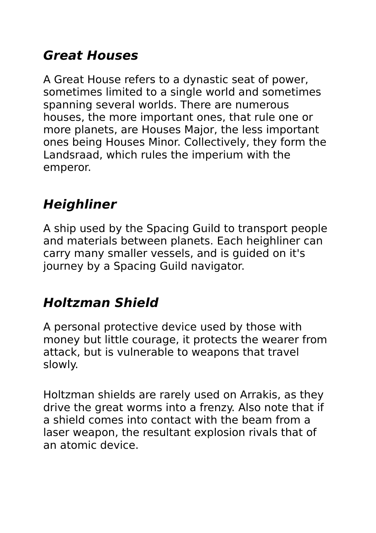## **Great Houses**

A Great House refers to a dynastic seat of power, sometimes limited to a single world and sometimes spanning several worlds. There are numerous houses, the more important ones, that rule one or more planets, are Houses Major, the less important ones being Houses Minor. Collectively, they form the Landsraad, which rules the imperium with the emperor.

# **Heighliner**

A ship used by the Spacing Guild to transport people and materials between planets. Each heighliner can carry many smaller vessels, and is guided on it's journey by a Spacing Guild navigator.

## **Holtzman Shield**

A personal protective device used by those with money but little courage, it protects the wearer from attack, but is vulnerable to weapons that travel slowly.

Holtzman shields are rarely used on Arrakis, as they drive the great worms into a frenzy. Also note that if a shield comes into contact with the beam from a laser weapon, the resultant explosion rivals that of an atomic device.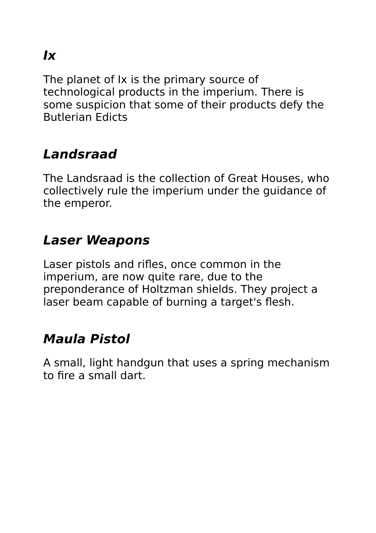# **Ix**

The planet of Ix is the primary source of technological products in the imperium. There is some suspicion that some of their products defy the Butlerian Edicts

# **Landsraad**

The Landsraad is the collection of Great Houses, who collectively rule the imperium under the guidance of the emperor.

#### **Laser Weapons**

Laser pistols and rifles, once common in the imperium, are now quite rare, due to the preponderance of Holtzman shields. They project a laser beam capable of burning a target's flesh.

#### **Maula Pistol**

A small, light handgun that uses a spring mechanism to fire a small dart.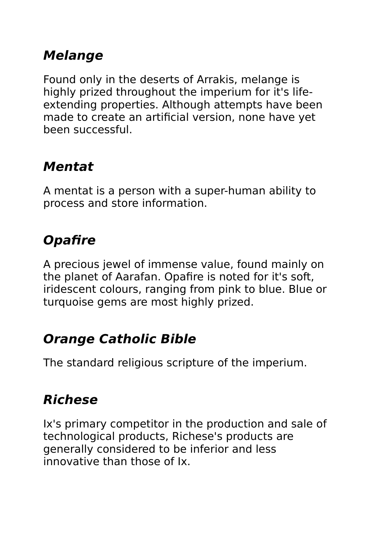## **Melange**

Found only in the deserts of Arrakis, melange is highly prized throughout the imperium for it's lifeextending properties. Although attempts have been made to create an artificial version, none have yet been successful.

## **Mentat**

A mentat is a person with a super-human ability to process and store information.

# **Opafire**

A precious jewel of immense value, found mainly on the planet of Aarafan. Opafire is noted for it's soft, iridescent colours, ranging from pink to blue. Blue or turquoise gems are most highly prized.

#### **Orange Catholic Bible**

The standard religious scripture of the imperium.

# **Richese**

Ix's primary competitor in the production and sale of technological products, Richese's products are generally considered to be inferior and less innovative than those of Ix.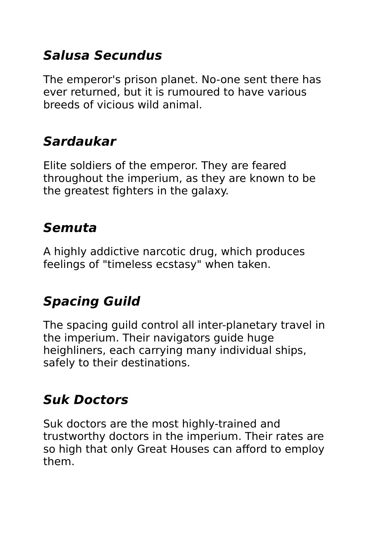## **Salusa Secundus**

The emperor's prison planet. No-one sent there has ever returned, but it is rumoured to have various breeds of vicious wild animal.

# **Sardaukar**

Elite soldiers of the emperor. They are feared throughout the imperium, as they are known to be the greatest fighters in the galaxy.

#### **Semuta**

A highly addictive narcotic drug, which produces feelings of "timeless ecstasy" when taken.

# **Spacing Guild**

The spacing guild control all inter-planetary travel in the imperium. Their navigators guide huge heighliners, each carrying many individual ships, safely to their destinations.

#### **Suk Doctors**

Suk doctors are the most highly-trained and trustworthy doctors in the imperium. Their rates are so high that only Great Houses can afford to employ them.